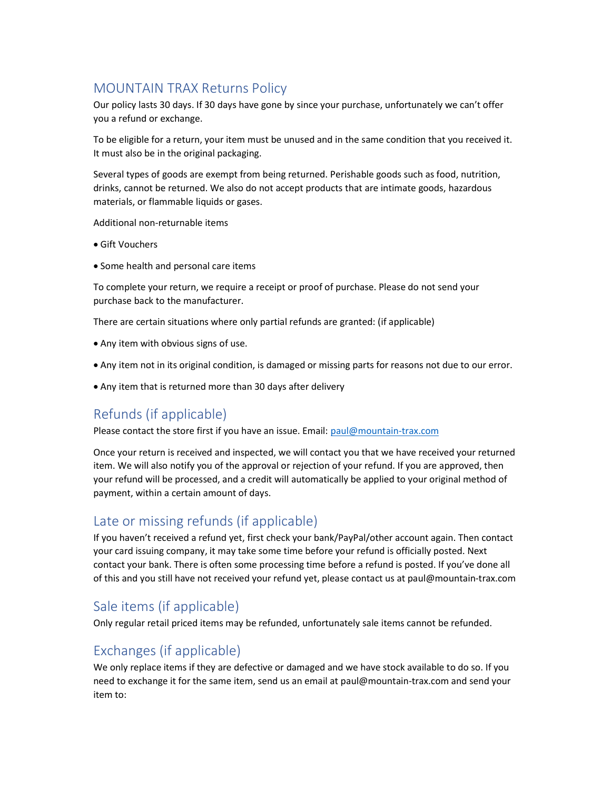### MOUNTAIN TRAX Returns Policy

Our policy lasts 30 days. If 30 days have gone by since your purchase, unfortunately we can't offer you a refund or exchange.

To be eligible for a return, your item must be unused and in the same condition that you received it. It must also be in the original packaging.

Several types of goods are exempt from being returned. Perishable goods such as food, nutrition, drinks, cannot be returned. We also do not accept products that are intimate goods, hazardous materials, or flammable liquids or gases.

Additional non-returnable items

- Gift Vouchers
- Some health and personal care items

To complete your return, we require a receipt or proof of purchase. Please do not send your purchase back to the manufacturer.

There are certain situations where only partial refunds are granted: (if applicable)

- Any item with obvious signs of use.
- Any item not in its original condition, is damaged or missing parts for reasons not due to our error.
- Any item that is returned more than 30 days after delivery

# Refunds (if applicable)

Please contact the store first if you have an issue. Email: paul@mountain-trax.com

Once your return is received and inspected, we will contact you that we have received your returned item. We will also notify you of the approval or rejection of your refund. If you are approved, then your refund will be processed, and a credit will automatically be applied to your original method of payment, within a certain amount of days.

### Late or missing refunds (if applicable)

If you haven't received a refund yet, first check your bank/PayPal/other account again. Then contact your card issuing company, it may take some time before your refund is officially posted. Next contact your bank. There is often some processing time before a refund is posted. If you've done all of this and you still have not received your refund yet, please contact us at paul@mountain-trax.com

### Sale items (if applicable)

Only regular retail priced items may be refunded, unfortunately sale items cannot be refunded.

### Exchanges (if applicable)

We only replace items if they are defective or damaged and we have stock available to do so. If you need to exchange it for the same item, send us an email at paul@mountain-trax.com and send your item to: